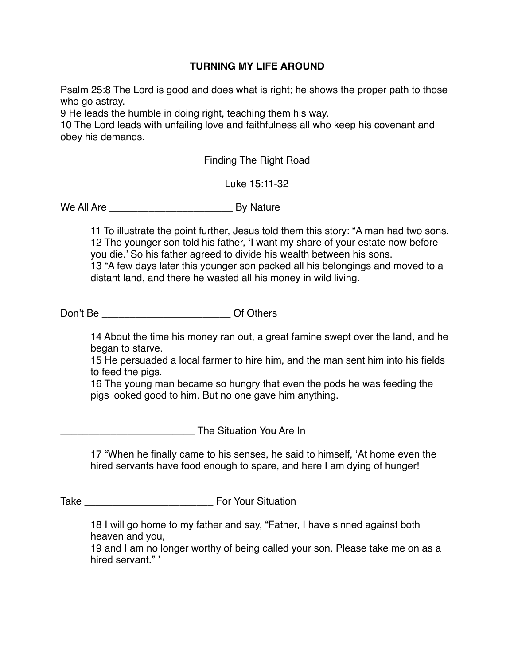## **TURNING MY LIFE AROUND**

Psalm 25:8 The Lord is good and does what is right; he shows the proper path to those who go astray.

9 He leads the humble in doing right, teaching them his way.

10 The Lord leads with unfailing love and faithfulness all who keep his covenant and obey his demands.

Finding The Right Road

Luke 15:11-32

We All Are \_\_\_\_\_\_\_\_\_\_\_\_\_\_\_\_\_\_\_\_\_\_ By Nature

11 To illustrate the point further, Jesus told them this story: "A man had two sons. 12 The younger son told his father, 'I want my share of your estate now before you die.' So his father agreed to divide his wealth between his sons. 13 "A few days later this younger son packed all his belongings and moved to a distant land, and there he wasted all his money in wild living.

Don't Be \_\_\_\_\_\_\_\_\_\_\_\_\_\_\_\_\_\_\_\_\_\_\_ Of Others

14 About the time his money ran out, a great famine swept over the land, and he began to starve.

15 He persuaded a local farmer to hire him, and the man sent him into his fields to feed the pigs.

16 The young man became so hungry that even the pods he was feeding the pigs looked good to him. But no one gave him anything.

\_\_\_\_\_\_\_\_\_\_\_\_\_\_\_\_\_\_\_\_\_\_\_\_ The Situation You Are In

17 "When he finally came to his senses, he said to himself, 'At home even the hired servants have food enough to spare, and here I am dying of hunger!

Take **Take Take Take Take Take Take Take Take Take Take Take Take Take Take Take Take Take Take Take Take Take Take Take Take Take Take Take Take Take Take Take**

18 I will go home to my father and say, "Father, I have sinned against both heaven and you,

19 and I am no longer worthy of being called your son. Please take me on as a hired servant."'